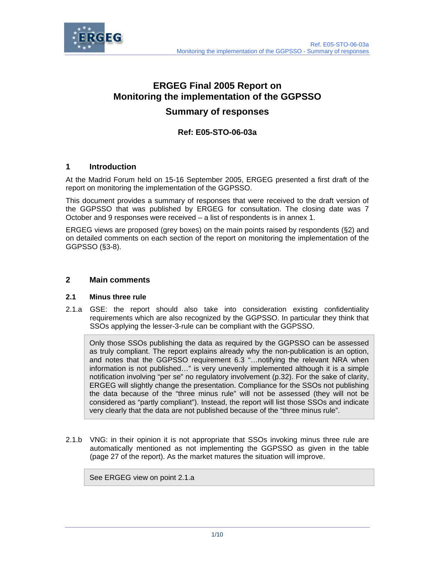



# **ERGEG Final 2005 Report on Monitoring the implementation of the GGPSSO**

## **Summary of responses**

## **Ref: E05-STO-06-03a**

## **1 Introduction**

At the Madrid Forum held on 15-16 September 2005, ERGEG presented a first draft of the report on monitoring the implementation of the GGPSSO.

This document provides a summary of responses that were received to the draft version of the GGPSSO that was published by ERGEG for consultation. The closing date was 7 October and 9 responses were received – a list of respondents is in annex 1.

ERGEG views are proposed (grey boxes) on the main points raised by respondents (§2) and on detailed comments on each section of the report on monitoring the implementation of the GGPSSO (§3-8).

## **2 Main comments**

### **2.1 Minus three rule**

2.1.a GSE: the report should also take into consideration existing confidentiality requirements which are also recognized by the GGPSSO. In particular they think that SSOs applying the lesser-3-rule can be compliant with the GGPSSO.

Only those SSOs publishing the data as required by the GGPSSO can be assessed as truly compliant. The report explains already why the non-publication is an option, and notes that the GGPSSO requirement 6.3 "…notifying the relevant NRA when information is not published…" is very unevenly implemented although it is a simple notification involving "per se" no regulatory involvement (p.32). For the sake of clarity, ERGEG will slightly change the presentation. Compliance for the SSOs not publishing the data because of the "three minus rule" will not be assessed (they will not be considered as "partly compliant"). Instead, the report will list those SSOs and indicate very clearly that the data are not published because of the "three minus rule".

2.1.b VNG: in their opinion it is not appropriate that SSOs invoking minus three rule are automatically mentioned as not implementing the GGPSSO as given in the table (page 27 of the report). As the market matures the situation will improve.

See ERGEG view on point 2.1.a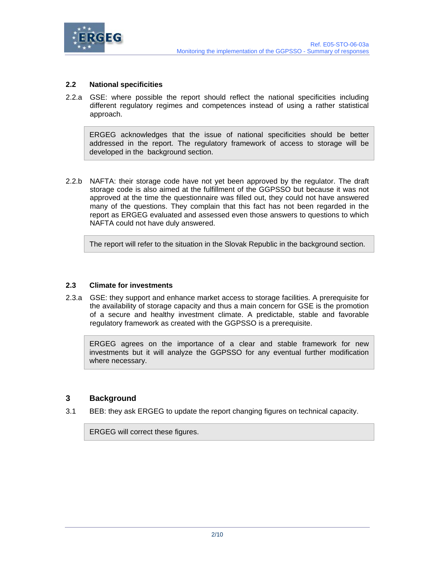

## **2.2 National specificities**

2.2.a GSE: where possible the report should reflect the national specificities including different regulatory regimes and competences instead of using a rather statistical approach.

ERGEG acknowledges that the issue of national specificities should be better addressed in the report. The regulatory framework of access to storage will be developed in the background section.

2.2.b NAFTA: their storage code have not yet been approved by the regulator. The draft storage code is also aimed at the fulfillment of the GGPSSO but because it was not approved at the time the questionnaire was filled out, they could not have answered many of the questions. They complain that this fact has not been regarded in the report as ERGEG evaluated and assessed even those answers to questions to which NAFTA could not have duly answered.

The report will refer to the situation in the Slovak Republic in the background section.

### **2.3 Climate for investments**

2.3.a GSE: they support and enhance market access to storage facilities. A prerequisite for the availability of storage capacity and thus a main concern for GSE is the promotion of a secure and healthy investment climate. A predictable, stable and favorable regulatory framework as created with the GGPSSO is a prerequisite.

ERGEG agrees on the importance of a clear and stable framework for new investments but it will analyze the GGPSSO for any eventual further modification where necessary.

### **3 Background**

3.1 BEB: they ask ERGEG to update the report changing figures on technical capacity.

ERGEG will correct these figures.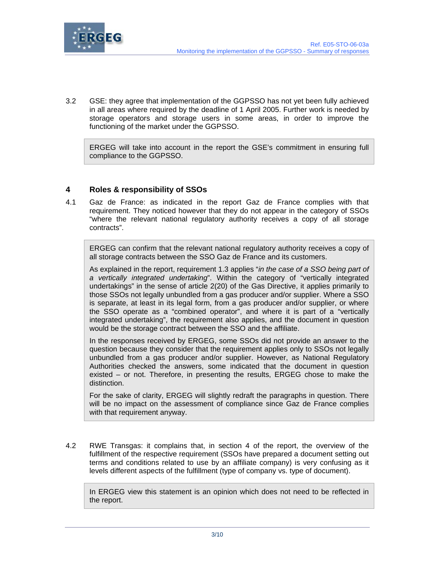

3.2 GSE: they agree that implementation of the GGPSSO has not yet been fully achieved in all areas where required by the deadline of 1 April 2005. Further work is needed by storage operators and storage users in some areas, in order to improve the functioning of the market under the GGPSSO.

ERGEG will take into account in the report the GSE's commitment in ensuring full compliance to the GGPSSO.

## **4 Roles & responsibility of SSOs**

4.1 Gaz de France: as indicated in the report Gaz de France complies with that requirement. They noticed however that they do not appear in the category of SSOs "where the relevant national regulatory authority receives a copy of all storage contracts".

ERGEG can confirm that the relevant national regulatory authority receives a copy of all storage contracts between the SSO Gaz de France and its customers.

As explained in the report, requirement 1.3 applies "*in the case of a SSO being part of a vertically integrated undertaking*". Within the category of "vertically integrated undertakings" in the sense of article 2(20) of the Gas Directive, it applies primarily to those SSOs not legally unbundled from a gas producer and/or supplier. Where a SSO is separate, at least in its legal form, from a gas producer and/or supplier, or where the SSO operate as a "combined operator", and where it is part of a "vertically integrated undertaking", the requirement also applies, and the document in question would be the storage contract between the SSO and the affiliate.

In the responses received by ERGEG, some SSOs did not provide an answer to the question because they consider that the requirement applies only to SSOs not legally unbundled from a gas producer and/or supplier. However, as National Regulatory Authorities checked the answers, some indicated that the document in question existed – or not. Therefore, in presenting the results, ERGEG chose to make the distinction.

For the sake of clarity, ERGEG will slightly redraft the paragraphs in question. There will be no impact on the assessment of compliance since Gaz de France complies with that requirement anyway.

4.2 RWE Transgas: it complains that, in section 4 of the report, the overview of the fulfillment of the respective requirement (SSOs have prepared a document setting out terms and conditions related to use by an affiliate company) is very confusing as it levels different aspects of the fulfillment (type of company vs. type of document).

In ERGEG view this statement is an opinion which does not need to be reflected in the report.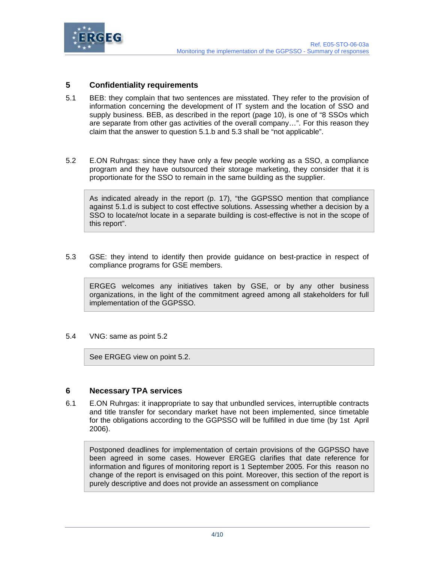

## **5 Confidentiality requirements**

- 5.1 BEB: they complain that two sentences are misstated. They refer to the provision of information concerning the development of IT system and the location of SSO and supply business. BEB, as described in the report (page 10), is one of "8 SSOs which are separate from other gas activities of the overall company…". For this reason they claim that the answer to question 5.1.b and 5.3 shall be "not applicable".
- 5.2 E.ON Ruhrgas: since they have only a few people working as a SSO, a compliance program and they have outsourced their storage marketing, they consider that it is proportionate for the SSO to remain in the same building as the supplier.

As indicated already in the report (p. 17), "the GGPSSO mention that compliance against 5.1.d is subject to cost effective solutions. Assessing whether a decision by a SSO to locate/not locate in a separate building is cost-effective is not in the scope of this report".

5.3 GSE: they intend to identify then provide guidance on best-practice in respect of compliance programs for GSE members.

ERGEG welcomes any initiatives taken by GSE, or by any other business organizations, in the light of the commitment agreed among all stakeholders for full implementation of the GGPSSO.

#### 5.4 VNG: same as point 5.2

See ERGEG view on point 5.2.

### **6 Necessary TPA services**

6.1 E.ON Ruhrgas: it inappropriate to say that unbundled services, interruptible contracts and title transfer for secondary market have not been implemented, since timetable for the obligations according to the GGPSSO will be fulfilled in due time (by 1st April 2006).

Postponed deadlines for implementation of certain provisions of the GGPSSO have been agreed in some cases. However ERGEG clarifies that date reference for information and figures of monitoring report is 1 September 2005. For this reason no change of the report is envisaged on this point. Moreover, this section of the report is purely descriptive and does not provide an assessment on compliance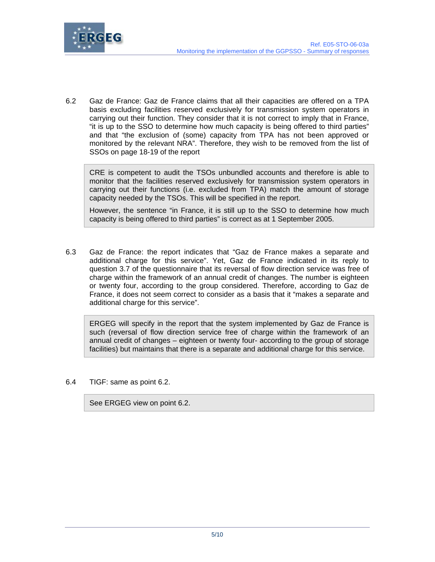

6.2 Gaz de France: Gaz de France claims that all their capacities are offered on a TPA basis excluding facilities reserved exclusively for transmission system operators in carrying out their function. They consider that it is not correct to imply that in France, "it is up to the SSO to determine how much capacity is being offered to third parties" and that "the exclusion of (some) capacity from TPA has not been approved or monitored by the relevant NRA". Therefore, they wish to be removed from the list of SSOs on page 18-19 of the report

CRE is competent to audit the TSOs unbundled accounts and therefore is able to monitor that the facilities reserved exclusively for transmission system operators in carrying out their functions (i.e. excluded from TPA) match the amount of storage capacity needed by the TSOs. This will be specified in the report.

However, the sentence "in France, it is still up to the SSO to determine how much capacity is being offered to third parties" is correct as at 1 September 2005.

6.3 Gaz de France: the report indicates that "Gaz de France makes a separate and additional charge for this service". Yet, Gaz de France indicated in its reply to question 3.7 of the questionnaire that its reversal of flow direction service was free of charge within the framework of an annual credit of changes. The number is eighteen or twenty four, according to the group considered. Therefore, according to Gaz de France, it does not seem correct to consider as a basis that it "makes a separate and additional charge for this service".

ERGEG will specify in the report that the system implemented by Gaz de France is such (reversal of flow direction service free of charge within the framework of an annual credit of changes – eighteen or twenty four- according to the group of storage facilities) but maintains that there is a separate and additional charge for this service.

6.4 TIGF: same as point 6.2.

See ERGEG view on point 6.2.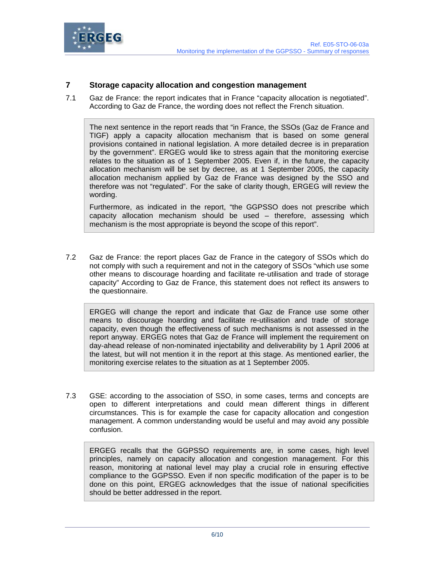

## **7 Storage capacity allocation and congestion management**

7.1 Gaz de France: the report indicates that in France "capacity allocation is negotiated". According to Gaz de France, the wording does not reflect the French situation.

The next sentence in the report reads that "in France, the SSOs (Gaz de France and TIGF) apply a capacity allocation mechanism that is based on some general provisions contained in national legislation. A more detailed decree is in preparation by the government". ERGEG would like to stress again that the monitoring exercise relates to the situation as of 1 September 2005. Even if, in the future, the capacity allocation mechanism will be set by decree, as at 1 September 2005, the capacity allocation mechanism applied by Gaz de France was designed by the SSO and therefore was not "regulated". For the sake of clarity though, ERGEG will review the wording.

Furthermore, as indicated in the report, "the GGPSSO does not prescribe which capacity allocation mechanism should be used – therefore, assessing which mechanism is the most appropriate is beyond the scope of this report".

7.2 Gaz de France: the report places Gaz de France in the category of SSOs which do not comply with such a requirement and not in the category of SSOs "which use some other means to discourage hoarding and facilitate re-utilisation and trade of storage capacity" According to Gaz de France, this statement does not reflect its answers to the questionnaire.

ERGEG will change the report and indicate that Gaz de France use some other means to discourage hoarding and facilitate re-utilisation and trade of storage capacity, even though the effectiveness of such mechanisms is not assessed in the report anyway. ERGEG notes that Gaz de France will implement the requirement on day-ahead release of non-nominated injectability and deliverability by 1 April 2006 at the latest, but will not mention it in the report at this stage. As mentioned earlier, the monitoring exercise relates to the situation as at 1 September 2005.

7.3 GSE: according to the association of SSO, in some cases, terms and concepts are open to different interpretations and could mean different things in different circumstances. This is for example the case for capacity allocation and congestion management. A common understanding would be useful and may avoid any possible confusion.

ERGEG recalls that the GGPSSO requirements are, in some cases, high level principles, namely on capacity allocation and congestion management. For this reason, monitoring at national level may play a crucial role in ensuring effective compliance to the GGPSSO. Even if non specific modification of the paper is to be done on this point, ERGEG acknowledges that the issue of national specificities should be better addressed in the report.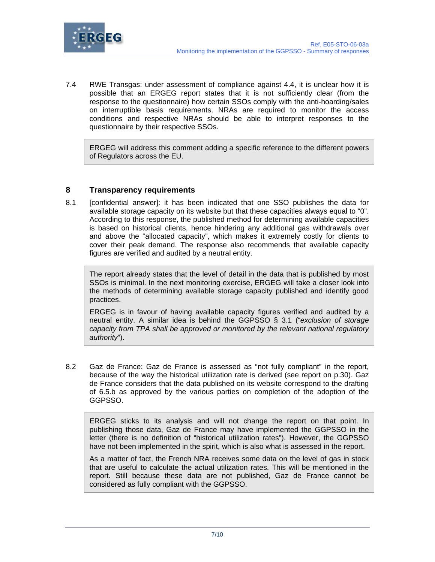

7.4 RWE Transgas: under assessment of compliance against 4.4, it is unclear how it is possible that an ERGEG report states that it is not sufficiently clear (from the response to the questionnaire) how certain SSOs comply with the anti-hoarding/sales on interruptible basis requirements. NRAs are required to monitor the access conditions and respective NRAs should be able to interpret responses to the questionnaire by their respective SSOs.

ERGEG will address this comment adding a specific reference to the different powers of Regulators across the EU.

## **8 Transparency requirements**

8.1 [confidential answer]: it has been indicated that one SSO publishes the data for available storage capacity on its website but that these capacities always equal to "0". According to this response, the published method for determining available capacities is based on historical clients, hence hindering any additional gas withdrawals over and above the "allocated capacity", which makes it extremely costly for clients to cover their peak demand. The response also recommends that available capacity figures are verified and audited by a neutral entity.

The report already states that the level of detail in the data that is published by most SSOs is minimal. In the next monitoring exercise, ERGEG will take a closer look into the methods of determining available storage capacity published and identify good practices.

ERGEG is in favour of having available capacity figures verified and audited by a neutral entity. A similar idea is behind the GGPSSO § 3.1 ("*exclusion of storage capacity from TPA shall be approved or monitored by the relevant national regulatory authority*").

8.2 Gaz de France: Gaz de France is assessed as "not fully compliant" in the report, because of the way the historical utilization rate is derived (see report on p.30). Gaz de France considers that the data published on its website correspond to the drafting of 6.5.b as approved by the various parties on completion of the adoption of the GGPSSO.

ERGEG sticks to its analysis and will not change the report on that point. In publishing those data, Gaz de France may have implemented the GGPSSO in the letter (there is no definition of "historical utilization rates"). However, the GGPSSO have not been implemented in the spirit, which is also what is assessed in the report.

As a matter of fact, the French NRA receives some data on the level of gas in stock that are useful to calculate the actual utilization rates. This will be mentioned in the report. Still because these data are not published, Gaz de France cannot be considered as fully compliant with the GGPSSO.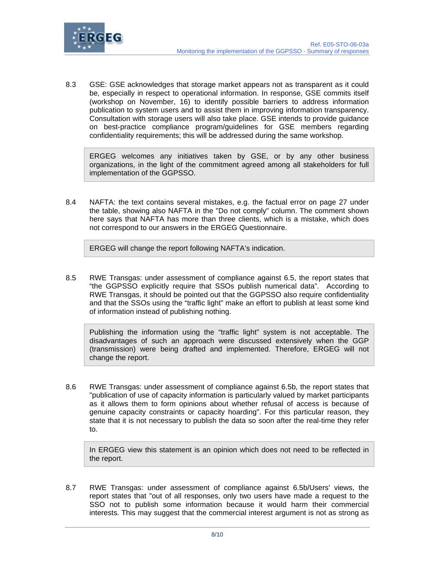

8.3 GSE: GSE acknowledges that storage market appears not as transparent as it could be, especially in respect to operational information. In response, GSE commits itself (workshop on November, 16) to identify possible barriers to address information publication to system users and to assist them in improving information transparency. Consultation with storage users will also take place. GSE intends to provide guidance on best-practice compliance program/guidelines for GSE members regarding confidentiality requirements; this will be addressed during the same workshop.

ERGEG welcomes any initiatives taken by GSE, or by any other business organizations, in the light of the commitment agreed among all stakeholders for full implementation of the GGPSSO.

8.4 NAFTA: the text contains several mistakes, e.g. the factual error on page 27 under the table, showing also NAFTA in the "Do not comply" column. The comment shown here says that NAFTA has more than three clients, which is a mistake, which does not correspond to our answers in the ERGEG Questionnaire.

ERGEG will change the report following NAFTA's indication.

8.5 RWE Transgas: under assessment of compliance against 6.5, the report states that "the GGPSSO explicitly require that SSOs publish numerical data". According to RWE Transgas, it should be pointed out that the GGPSSO also require confidentiality and that the SSOs using the "traffic light" make an effort to publish at least some kind of information instead of publishing nothing.

Publishing the information using the "traffic light" system is not acceptable. The disadvantages of such an approach were discussed extensively when the GGP (transmission) were being drafted and implemented. Therefore, ERGEG will not change the report.

8.6 RWE Transgas: under assessment of compliance against 6.5b, the report states that "publication of use of capacity information is particularly valued by market participants as it allows them to form opinions about whether refusal of access is because of genuine capacity constraints or capacity hoarding". For this particular reason, they state that it is not necessary to publish the data so soon after the real-time they refer to.

In ERGEG view this statement is an opinion which does not need to be reflected in the report.

8.7 RWE Transgas: under assessment of compliance against 6.5b/Users' views, the report states that "out of all responses, only two users have made a request to the SSO not to publish some information because it would harm their commercial interests. This may suggest that the commercial interest argument is not as strong as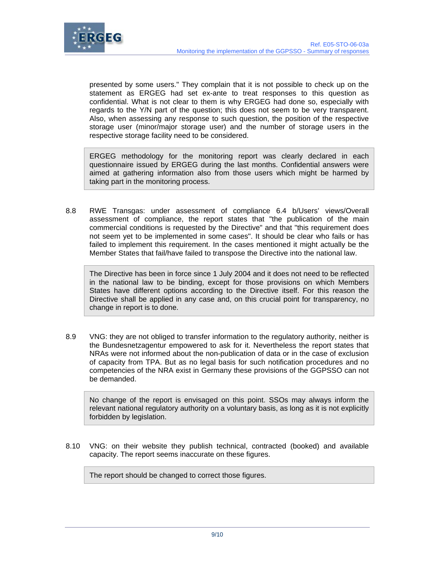

presented by some users." They complain that it is not possible to check up on the statement as ERGEG had set ex-ante to treat responses to this question as confidential. What is not clear to them is why ERGEG had done so, especially with regards to the Y/N part of the question; this does not seem to be very transparent. Also, when assessing any response to such question, the position of the respective storage user (minor/major storage user) and the number of storage users in the respective storage facility need to be considered.

ERGEG methodology for the monitoring report was clearly declared in each questionnaire issued by ERGEG during the last months. Confidential answers were aimed at gathering information also from those users which might be harmed by taking part in the monitoring process.

8.8 RWE Transgas: under assessment of compliance 6.4 b/Users' views/Overall assessment of compliance, the report states that "the publication of the main commercial conditions is requested by the Directive" and that "this requirement does not seem yet to be implemented in some cases". It should be clear who fails or has failed to implement this requirement. In the cases mentioned it might actually be the Member States that fail/have failed to transpose the Directive into the national law.

The Directive has been in force since 1 July 2004 and it does not need to be reflected in the national law to be binding, except for those provisions on which Members States have different options according to the Directive itself. For this reason the Directive shall be applied in any case and, on this crucial point for transparency, no change in report is to done.

8.9 VNG: they are not obliged to transfer information to the regulatory authority, neither is the Bundesnetzagentur empowered to ask for it. Nevertheless the report states that NRAs were not informed about the non-publication of data or in the case of exclusion of capacity from TPA. But as no legal basis for such notification procedures and no competencies of the NRA exist in Germany these provisions of the GGPSSO can not be demanded.

No change of the report is envisaged on this point. SSOs may always inform the relevant national regulatory authority on a voluntary basis, as long as it is not explicitly forbidden by legislation.

8.10 VNG: on their website they publish technical, contracted (booked) and available capacity. The report seems inaccurate on these figures.

The report should be changed to correct those figures.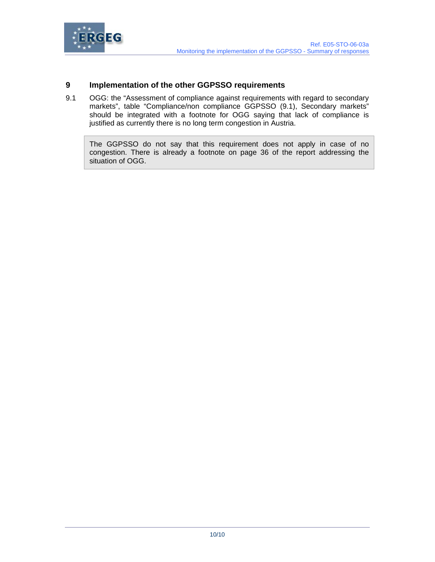

## **9 Implementation of the other GGPSSO requirements**

9.1 OGG: the "Assessment of compliance against requirements with regard to secondary markets", table "Compliance/non compliance GGPSSO (9.1), Secondary markets" should be integrated with a footnote for OGG saying that lack of compliance is justified as currently there is no long term congestion in Austria.

The GGPSSO do not say that this requirement does not apply in case of no congestion. There is already a footnote on page 36 of the report addressing the situation of OGG.